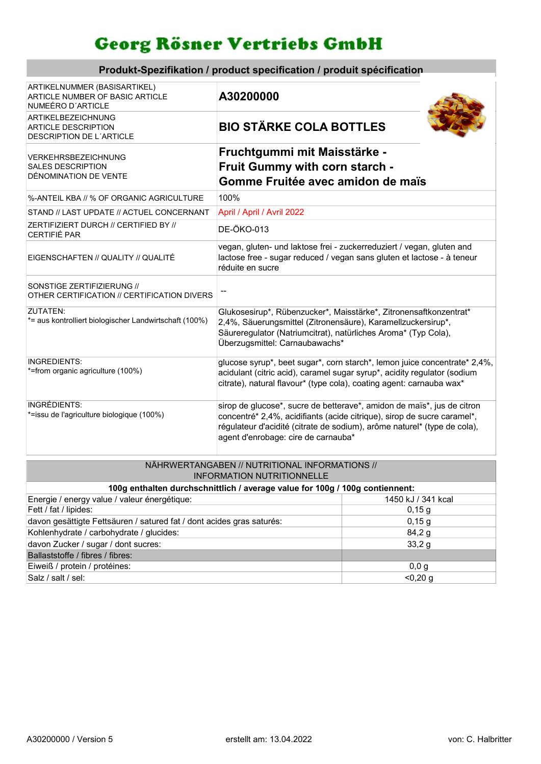## Georg Rösner Vertriebs GmbH

Produkt-Spezifikation / product specification / produit spécification

| ARTIKELNUMMER (BASISARTIKEL)<br><b>ARTICLE NUMBER OF BASIC ARTICLE</b><br>NUMEÉRO D'ARTICLE | A30200000                                                                                                                                                                                                                                                            |  |  |
|---------------------------------------------------------------------------------------------|----------------------------------------------------------------------------------------------------------------------------------------------------------------------------------------------------------------------------------------------------------------------|--|--|
| ARTIKELBEZEICHNUNG<br><b>ARTICLE DESCRIPTION</b><br><b>DESCRIPTION DE L'ARTICLE</b>         | <b>BIO STÄRKE COLA BOTTLES</b>                                                                                                                                                                                                                                       |  |  |
| VERKEHRSBEZEICHNUNG<br><b>SALES DESCRIPTION</b><br>DÉNOMINATION DE VENTE                    | Fruchtgummi mit Maisstärke -<br>Fruit Gummy with corn starch -<br>Gomme Fruitée avec amidon de maïs                                                                                                                                                                  |  |  |
| %-ANTEIL KBA // % OF ORGANIC AGRICULTURE                                                    | 100%                                                                                                                                                                                                                                                                 |  |  |
| STAND // LAST UPDATE // ACTUEL CONCERNANT                                                   | April / April / Avril 2022                                                                                                                                                                                                                                           |  |  |
| ZERTIFIZIERT DURCH // CERTIFIED BY //<br><b>CERTIFIÉ PAR</b>                                | <b>DE-ÖKO-013</b>                                                                                                                                                                                                                                                    |  |  |
| EIGENSCHAFTEN // QUALITY // QUALITÉ                                                         | vegan, gluten- und laktose frei - zuckerreduziert / vegan, gluten and<br>lactose free - sugar reduced / vegan sans gluten et lactose - à teneur<br>réduite en sucre                                                                                                  |  |  |
| SONSTIGE ZERTIFIZIERUNG //<br>OTHER CERTIFICATION // CERTIFICATION DIVERS                   | --                                                                                                                                                                                                                                                                   |  |  |
| ZUTATEN:<br>*= aus kontrolliert biologischer Landwirtschaft (100%)                          | Glukosesirup*, Rübenzucker*, Maisstärke*, Zitronensaftkonzentrat*<br>2,4%, Säuerungsmittel (Zitronensäure), Karamellzuckersirup*,<br>Säureregulator (Natriumcitrat), natürliches Aroma* (Typ Cola),<br>Überzugsmittel: Carnaubawachs*                                |  |  |
| INGREDIENTS:<br>*=from organic agriculture (100%)                                           | glucose syrup*, beet sugar*, corn starch*, lemon juice concentrate* 2,4%,<br>acidulant (citric acid), caramel sugar syrup*, acidity regulator (sodium<br>citrate), natural flavour* (type cola), coating agent: carnauba wax*                                        |  |  |
| INGRÉDIENTS:<br>*=issu de l'agriculture biologique (100%)                                   | sirop de glucose*, sucre de betterave*, amidon de maïs*, jus de citron<br>concentré* 2,4%, acidifiants (acide citrique), sirop de sucre caramel*,<br>régulateur d'acidité (citrate de sodium), arôme naturel* (type de cola),<br>agent d'enrobage: cire de carnauba* |  |  |
| NÄHRWERTANGABEN // NUTRITIONAL INFORMATIONS //                                              |                                                                                                                                                                                                                                                                      |  |  |

| <b>INFORMATION NUTRITIONNELLE</b>                                            |                    |  |  |  |  |
|------------------------------------------------------------------------------|--------------------|--|--|--|--|
| 100g enthalten durchschnittlich / average value for 100g / 100g contiennent: |                    |  |  |  |  |
| Energie / energy value / valeur énergétique:                                 | 1450 kJ / 341 kcal |  |  |  |  |
| Fett / fat / lipides:                                                        | 0,15,9             |  |  |  |  |
| davon gesättigte Fettsäuren / satured fat / dont acides gras saturés:        | 0,15,9             |  |  |  |  |
| Kohlenhydrate / carbohydrate / glucides:                                     | 84,2 g             |  |  |  |  |
| davon Zucker / sugar / dont sucres:                                          | 33,2g              |  |  |  |  |
| Ballaststoffe / fibres / fibres:                                             |                    |  |  |  |  |
| Eiweiß / protein / protéines:                                                | 0,0,9              |  |  |  |  |
| Salz / salt / sel:                                                           | $< 0.20$ g         |  |  |  |  |